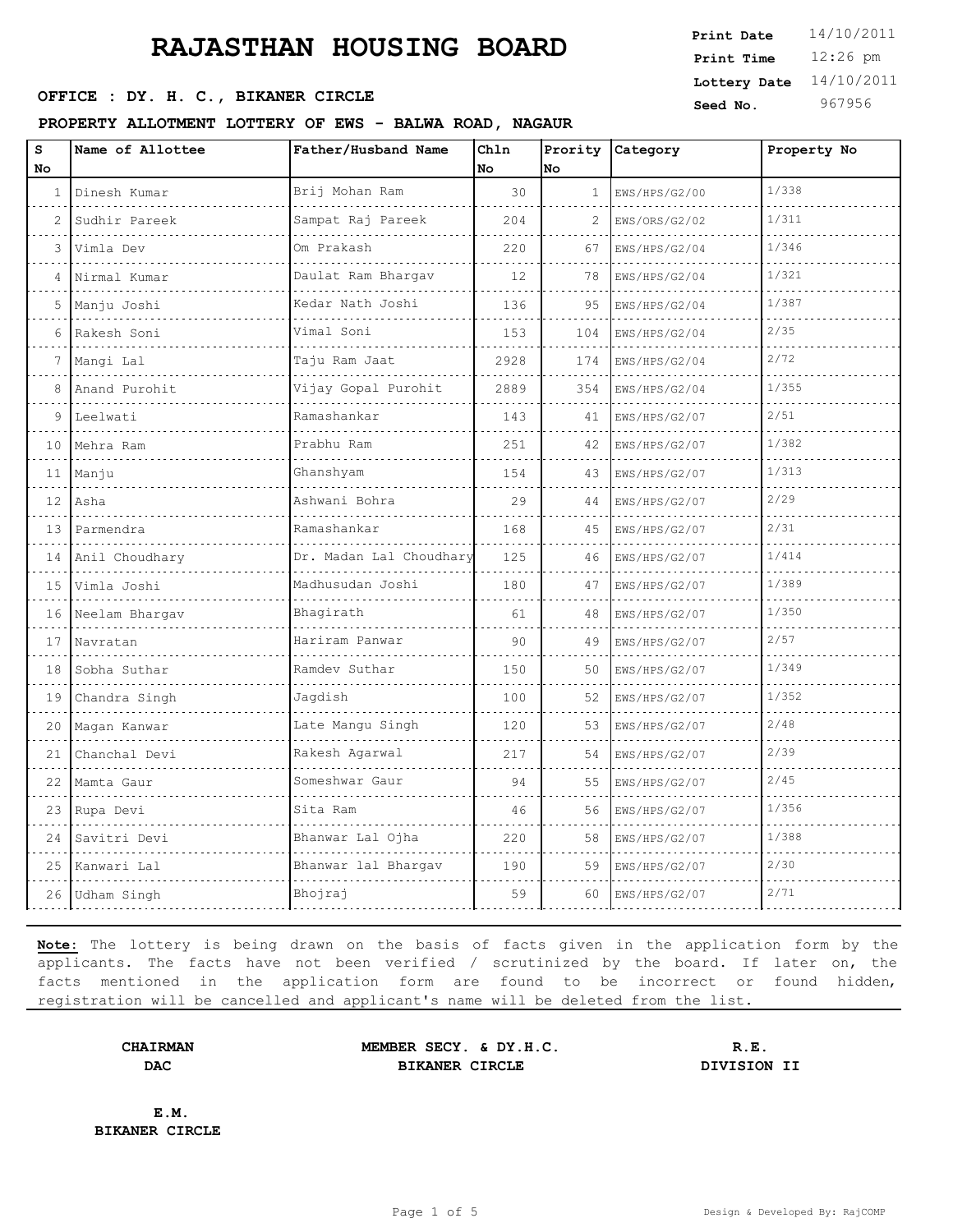#### OFFICE : DY. H. C., BIKANER CIRCLE

**PROPERTY ALLOTMENT LOTTERY OF EWS - BALWA ROAD, NAGAUR**

| Print Date   | 14/10/2011 |
|--------------|------------|
| Print Time   | $12:26$ pm |
| Lottery Date | 14/10/2011 |
| Seed No.     | 967956     |

| S<br>No | Name of Allottee  | Father/Husband Name                 | Chln<br>No | Prority<br>No | Category           | Property No |
|---------|-------------------|-------------------------------------|------------|---------------|--------------------|-------------|
| 1       | Dinesh Kumar<br>. | Brij Mohan Ram<br>.                 | 30         | 1             | EWS/HPS/G2/00      | 1/338       |
| 2       | Sudhir Pareek     | Sampat Raj Pareek                   | 204        | 2             | .<br>EWS/ORS/G2/02 | 1/311       |
| 3       | Vimla Dev         | Om Prakash                          | 220        | 67            | EWS/HPS/G2/04      | 1/346       |
| 4       | Nirmal Kumar      | Daulat Ram Bhargav                  | 12         | 78            | EWS/HPS/G2/04      | 1/321       |
| 5       | Manju Joshi       | .<br>Kedar Nath Joshi               | 136        | 95            | EWS/HPS/G2/04      | 1/387       |
| 6       | Rakesh Soni       | Vimal Soni                          | 153        | 104           | EWS/HPS/G2/04      | 2/35        |
| 7       | Mangi Lal         | Taju Ram Jaat                       | 2928       | 174           | EWS/HPS/G2/04      | 2/72        |
| 8       | Anand Purohit     | Vijay Gopal Purohit                 | 2889       | 354           | EWS/HPS/G2/04      | 1/355       |
| 9       | Leelwati          | Ramashankar                         | 143        | 41            | EWS/HPS/G2/07      | 2/51        |
| 10      | Mehra Ram         | Prabhu Ram                          | 251        | 42            | EWS/HPS/G2/07      | 1/382       |
| 11      | Manju             | Ghanshyam                           | 154        | 43            | EWS/HPS/G2/07      | 1/313       |
| 12      | Asha              | Ashwani Bohra                       | 29         | 44            | EWS/HPS/G2/07      | 2/29        |
| 13      | Parmendra         | Ramashankar                         | 168        | 45            | EWS/HPS/G2/07      | 2/31        |
| 14      | Anil Choudhary    | Dr. Madan Lal Choudhary<br>.        | 125        | 46            | EWS/HPS/G2/07      | 1/414       |
| 1.5     | Vimla Joshi       | Madhusudan Joshi                    | 180        | 47            | EWS/HPS/G2/07      | 1/389       |
| 16      | Neelam Bhargav    | Bhagirath                           | 61         | 48            | EWS/HPS/G2/07      | 1/350       |
| 17      | Navratan          | Hariram Panwar                      | 90         | 49            | EWS/HPS/G2/07      | 2/57        |
| 18      | Sobha Suthar      | Ramdev Suthar                       | 150        | 50            | EWS/HPS/G2/07      | 1/349       |
| 19      | Chandra Singh     | Jaqdish                             | 100        | 52            | EWS/HPS/G2/07      | 1/352       |
| 20      | Magan Kanwar      | Late Mangu Singh                    | 120        | 53            | EWS/HPS/G2/07      | 2/48        |
| 21      | Chanchal Devi     | Rakesh Agarwal<br>a dia dia dia dia | 217        | 54            | EWS/HPS/G2/07      | 2/39        |
| 22      | Mamta Gaur        | Someshwar Gaur                      | 94         | 55            | EWS/HPS/G2/07      | 2/45        |
| 23      | Rupa Devi         | Sita Ram                            | 46         | 56            | EWS/HPS/G2/07      | 1/356       |
| 24      | Savitri Devi      | Bhanwar Lal Ojha                    | 220        | 58            | EWS/HPS/G2/07      | 1/388       |
| 25      | Kanwari Lal       | Bhanwar lal Bhargav                 | 190        | 59            | EWS/HPS/G2/07      | 2/30        |
| 26      | Udham Singh       | Bhojraj                             | 59         | 60            | EWS/HPS/G2/07      | 2/71        |
|         |                   |                                     |            |               |                    |             |

**Note:** The lottery is being drawn on the basis of facts given in the application form by the applicants. The facts have not been verified / scrutinized by the board. If later on, the facts mentioned in the application form are found to be incorrect or found hidden, registration will be cancelled and applicant's name will be deleted from the list.

**CHAIRMAN MEMBER SECY. & DY.H.C. R.E. DAC BIKANER CIRCLE DIVISION II**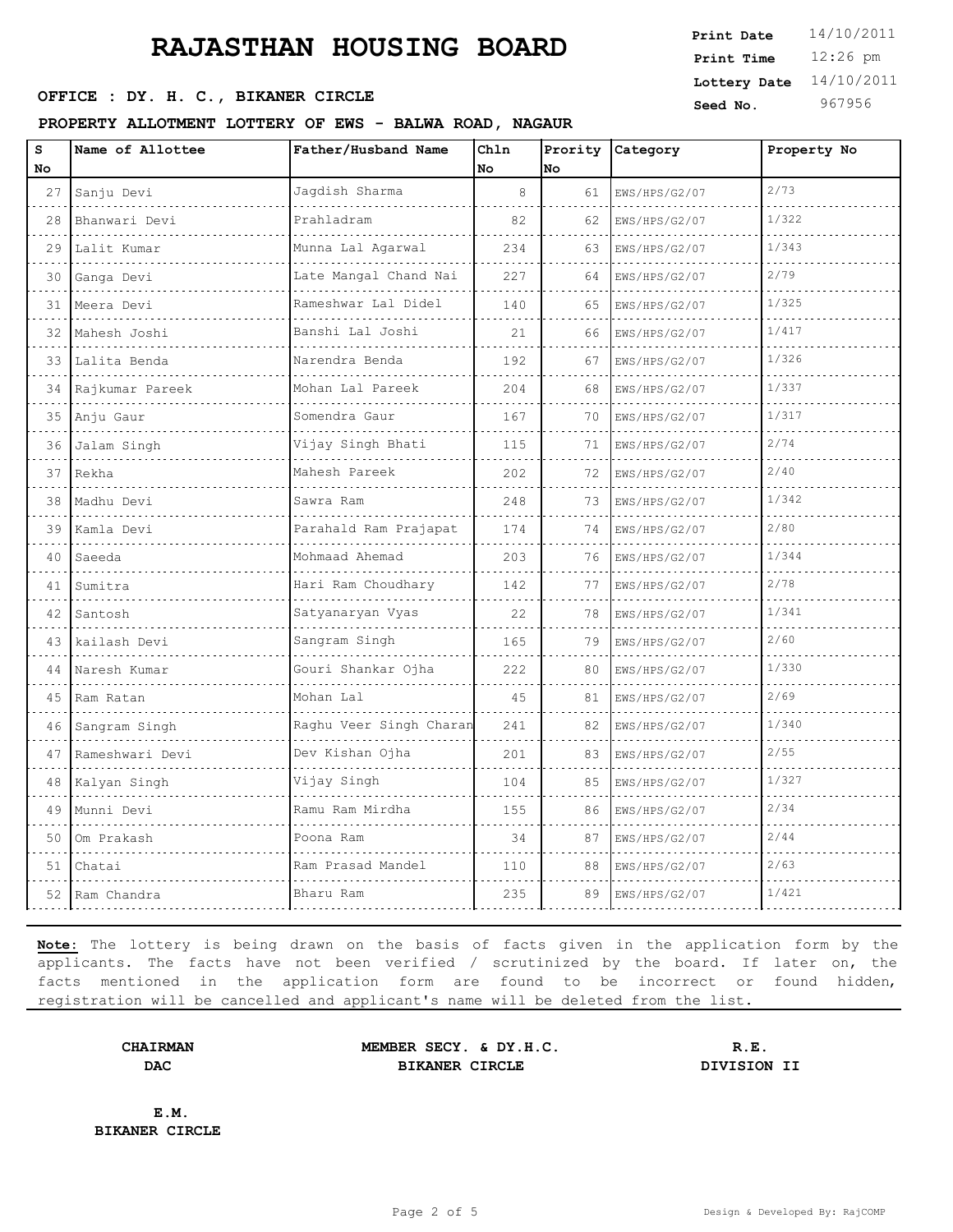### **OFFICE : DY. H. C., BIKANER CIRCLE Seed No.** 967956

#### **PROPERTY ALLOTMENT LOTTERY OF EWS - BALWA ROAD, NAGAUR**

12:26 pm **Print Time Print Date**  $14/10/2011$ **Lottery Date** 14/10/2011

| s<br>No | Name of Allottee          | Father/Husband Name     | Chln<br>No | Prority<br>No | Category           | Property No |
|---------|---------------------------|-------------------------|------------|---------------|--------------------|-------------|
| 27      | Sanju Devi                | Jagdish Sharma          | 8          | 61            | EWS/HPS/G2/07      | 2/73        |
| 28      | <u>.</u><br>Bhanwari Devi | Prahladram              | 82         | 62            | .<br>EWS/HPS/G2/07 | 1/322       |
| 29      | Lalit Kumar               | Munna Lal Agarwal       | 234        | 63            | EWS/HPS/G2/07      | 1/343       |
| 30      | Ganga Devi                | Late Mangal Chand Nai   | 227        | 64            | EWS/HPS/G2/07      | 2/79        |
| 31      | Meera Devi                | Rameshwar Lal Didel     | 140        | 65            | EWS/HPS/G2/07      | 1/325       |
| 32      | Mahesh Joshi              | .<br>Banshi Lal Joshi   | 21         | 66            | EWS/HPS/G2/07      | 1/417       |
| 33      | Lalita Benda              | Narendra Benda<br>.     | 192        | 67            | EWS/HPS/G2/07      | 1/326       |
| 34      | Rajkumar Pareek           | Mohan Lal Pareek        | 204        | 68            | EWS/HPS/G2/07      | 1/337       |
| 35      | Anju Gaur                 | Somendra Gaur           | 167        | 70            | EWS/HPS/G2/07      | 1/317       |
| 36      | Jalam Singh               | Vijay Singh Bhati       | 115        | 71            | EWS/HPS/G2/07      | 2/74        |
| 37      | Rekha                     | Mahesh Pareek           | 202        | 72            | EWS/HPS/G2/07      | 2/40        |
| 38      | Madhu Devi                | Sawra Ram               | 248        | 73            | EWS/HPS/G2/07      | 1/342       |
| 39      | Kamla Devi                | Parahald Ram Prajapat   | 174        | 74            | EWS/HPS/G2/07      | 2/80        |
| 40      | Saeeda                    | Mohmaad Ahemad          | 203        | 76            | EWS/HPS/G2/07      | 1/344       |
| 41      | Sumitra                   | Hari Ram Choudhary      | 142        | 77            | EWS/HPS/G2/07      | 2/78        |
| 42      | Santosh                   | Satyanaryan Vyas        | 22         | 78            | EWS/HPS/G2/07      | 1/341       |
| 43      | kailash Devi              | Sangram Singh           | 165        | 79            | EWS/HPS/G2/07      | 2/60        |
| 44      | Naresh Kumar              | Gouri Shankar Ojha      | 222        | 80            | EWS/HPS/G2/07      | 1/330       |
| 45      | Ram Ratan                 | Mohan Lal               | 45         | 81            | EWS/HPS/G2/07      | 2/69        |
| 46      | Sangram Singh             | Raghu Veer Singh Charan | 241        | 82            | EWS/HPS/G2/07      | 1/340       |
| 47      | Rameshwari Devi           | Dev Kishan Ojha<br>.    | 201        | 83            | EWS/HPS/G2/07      | 2/55        |
| 48      | Kalyan Singh              | Vijay Singh             | 104        | 85            | EWS/HPS/G2/07      | 1/327       |
| 49      | Munni Devi                | Ramu Ram Mirdha         | 155        | 86            | EWS/HPS/G2/07      | 2/34        |
| 50      | Om Prakash                | Poona Ram               | 34         | 87            | EWS/HPS/G2/07      | 2/44        |
| 51      | Chatai                    | Ram Prasad Mandel       | 110        | 88            | EWS/HPS/G2/07      | 2/63        |
| 52      | Ram Chandra               | Bharu Ram               | 235        | 89            | EWS/HPS/G2/07      | 1/421       |

**Note:** The lottery is being drawn on the basis of facts given in the application form by the applicants. The facts have not been verified / scrutinized by the board. If later on, the facts mentioned in the application form are found to be incorrect or found hidden, registration will be cancelled and applicant's name will be deleted from the list.

**CHAIRMAN MEMBER SECY. & DY.H.C. R.E. DAC BIKANER CIRCLE DIVISION II**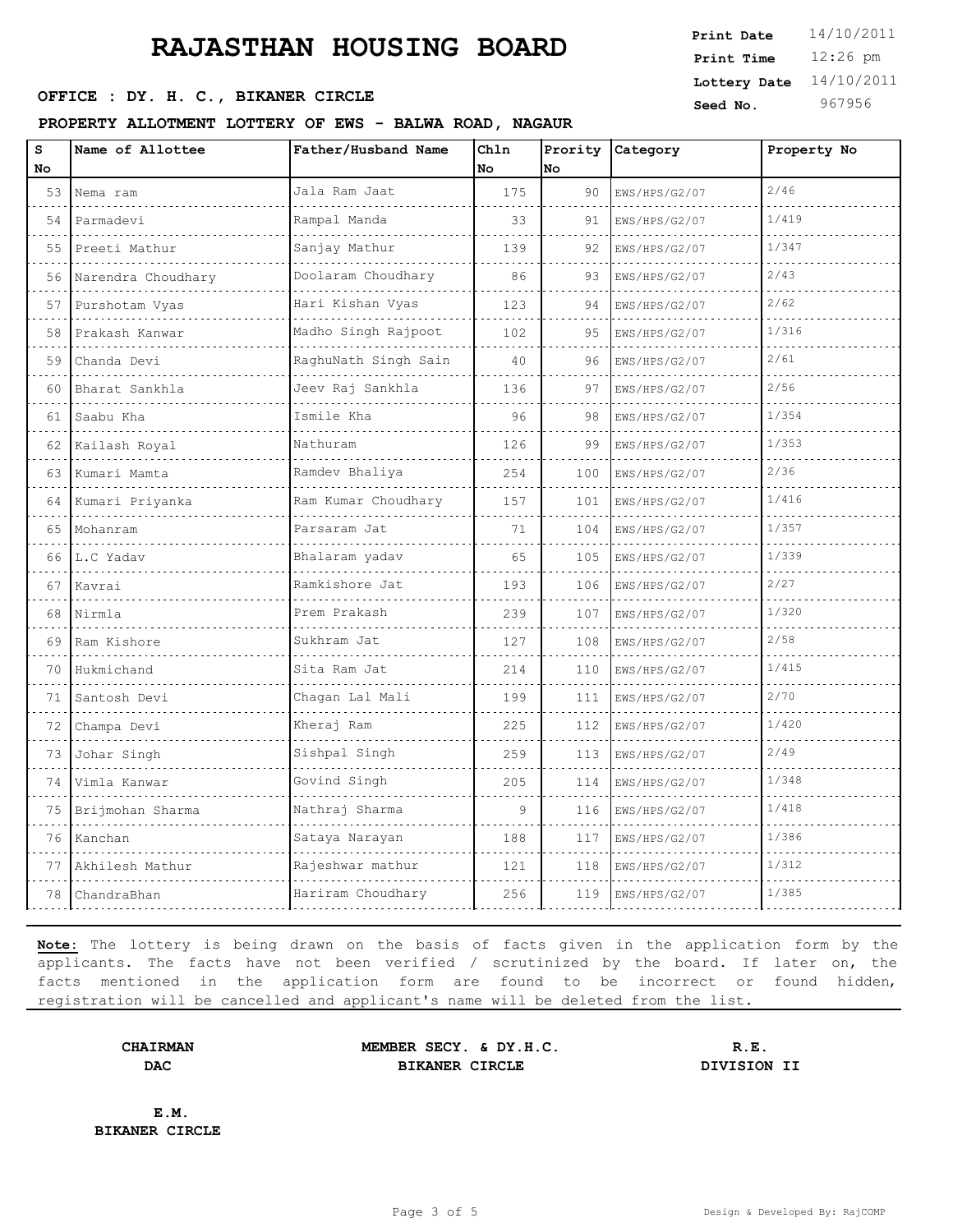### **OFFICE : DY. H. C., BIKANER CIRCLE Seed No.** 967956

#### **PROPERTY ALLOTMENT LOTTERY OF EWS - BALWA ROAD, NAGAUR**

12:26 pm **Print Time Print Date**  $14/10/2011$ **Lottery Date** 14/10/2011

| s  | Name of Allottee   | Father/Husband Name     | Chln | Prority | Category      | Property No |
|----|--------------------|-------------------------|------|---------|---------------|-------------|
| No |                    |                         | No   | lNo.    |               |             |
| 53 | Nema ram           | Jala Ram Jaat           | 175  | 90      | EWS/HPS/G2/07 | 2/46        |
| 54 | Parmadevi          | Rampal Manda            | 33   | 91      | EWS/HPS/G2/07 | 1/419       |
| 55 | Preeti Mathur      | Sanjay Mathur           | 139  | 92      | EWS/HPS/G2/07 | 1/347       |
| 56 | Narendra Choudhary | Doolaram Choudhary<br>. | 86   | 93      | EWS/HPS/G2/07 | 2/43        |
| 57 | Purshotam Vyas     | Hari Kishan Vyas        | 123  | 94      | EWS/HPS/G2/07 | 2/62        |
| 58 | Prakash Kanwar     | Madho Singh Rajpoot     | 102  | 95      | EWS/HPS/G2/07 | 1/316       |
| 59 | Chanda Devi        | RaghuNath Singh Sain    | 40   | 96      | EWS/HPS/G2/07 | 2/61        |
| 60 | Bharat Sankhla     | Jeev Raj Sankhla        | 136  | 97      | EWS/HPS/G2/07 | 2/56        |
| 61 | Saabu Kha          | Ismile Kha              | 96   | 98      | EWS/HPS/G2/07 | 1/354       |
| 62 | Kailash Royal      | Nathuram                | 126  | 99      | EWS/HPS/G2/07 | 1/353       |
| 63 | Kumari Mamta       | Ramdev Bhaliya          | 254  | 100     | EWS/HPS/G2/07 | 2/36        |
| 64 | Kumari Priyanka    | Ram Kumar Choudhary     | 157  | 101     | EWS/HPS/G2/07 | 1/416       |
| 65 | Mohanram           | Parsaram Jat            | 71   | 104     | EWS/HPS/G2/07 | 1/357       |
| 66 | L.C Yadav          | Bhalaram yadav          | 65   | 105     | EWS/HPS/G2/07 | 1/339       |
| 67 | Kavrai             | Ramkishore Jat          | 193  | 106     | EWS/HPS/G2/07 | 2/27        |
| 68 | Nirmla             | Prem Prakash            | 239  | 107     | EWS/HPS/G2/07 | 1/320       |
| 69 | Ram Kishore        | Sukhram Jat             | 127  | 108     | EWS/HPS/G2/07 | 2/58        |
| 70 | Hukmichand         | Sita Ram Jat            | 214  | 110     | EWS/HPS/G2/07 | 1/415       |
| 71 | Santosh Devi       | Chagan Lal Mali         | 199  | 111     | EWS/HPS/G2/07 | 2/70        |
| 72 | Champa Devi        | Kheraj Ram              | 225  | 112     | EWS/HPS/G2/07 | 1/420       |
| 73 | Johar Singh        | Sishpal Singh           | 259  | 113     | EWS/HPS/G2/07 | 2/49        |
| 74 | Vimla Kanwar       | Govind Singh            | 205  | 114     | EWS/HPS/G2/07 | 1/348       |
| 75 | Brijmohan Sharma   | Nathraj Sharma          | 9    | 116     | EWS/HPS/G2/07 | 1/418       |
| 76 | Kanchan            | Sataya Narayan          | 188  | 117     | EWS/HPS/G2/07 | 1/386       |
| 77 | Akhilesh Mathur    | Rajeshwar mathur        | 121  | 118     | EWS/HPS/G2/07 | 1/312       |
| 78 | ChandraBhan        | Hariram Choudhary       | 256  | 119     | EWS/HPS/G2/07 | 1/385       |
|    |                    |                         |      |         |               |             |

**Note:** The lottery is being drawn on the basis of facts given in the application form by the applicants. The facts have not been verified / scrutinized by the board. If later on, the facts mentioned in the application form are found to be incorrect or found hidden, registration will be cancelled and applicant's name will be deleted from the list.

**CHAIRMAN MEMBER SECY. & DY.H.C. R.E. DAC BIKANER CIRCLE DIVISION II**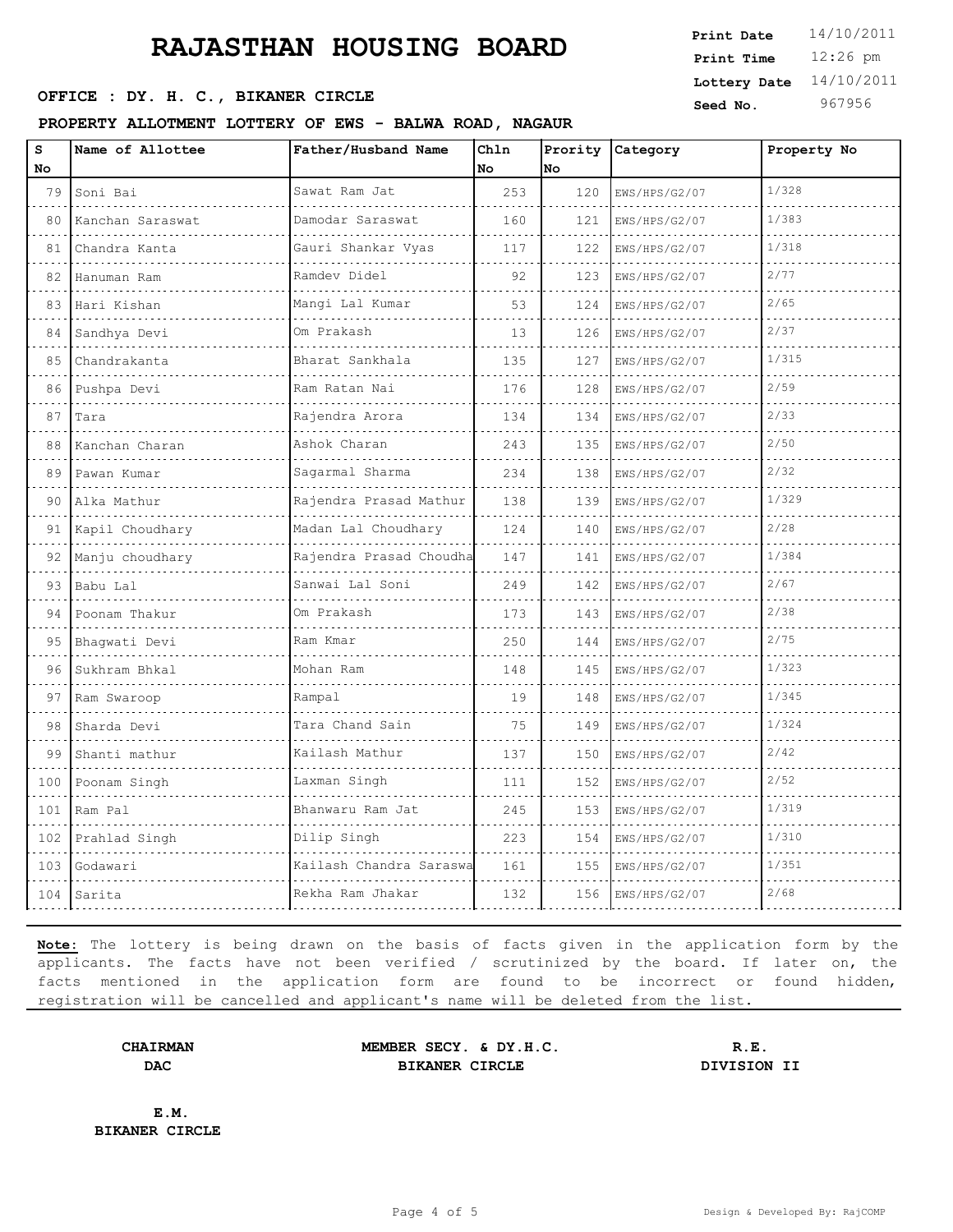### **OFFICE : DY. H. C., BIKANER CIRCLE Seed No.** 967956

#### **PROPERTY ALLOTMENT LOTTERY OF EWS - BALWA ROAD, NAGAUR**

12:26 pm **Print Time Print Date**  $14/10/2011$ **Lottery Date** 14/10/2011

| s<br>No | Name of Allottee | Father/Husband Name         | Chln<br>No | Prority<br>No | Category      | Property No |
|---------|------------------|-----------------------------|------------|---------------|---------------|-------------|
| 79      | Soni Bai         | Sawat Ram Jat               | 253        | 120           | EWS/HPS/G2/07 | 1/328       |
| 80      | Kanchan Saraswat | .<br>Damodar Saraswat       | 160        | 121           | EWS/HPS/G2/07 | 1/383       |
| 81      | Chandra Kanta    | Gauri Shankar Vyas          | 117        | 122           | EWS/HPS/G2/07 | 1/318       |
| 82      | Hanuman Ram      | Ramdev Didel                | 92         | 123           | EWS/HPS/G2/07 | 2/77        |
| 83      | Hari Kishan      | <u>.</u><br>Mangi Lal Kumar | 53         | 124           | EWS/HPS/G2/07 | 2/65        |
| 84      | Sandhya Devi     | Om Prakash                  | 13         | 126           | EWS/HPS/G2/07 | 2/37        |
| 85      | Chandrakanta     | Bharat Sankhala             | 135        | 127           | EWS/HPS/G2/07 | 1/315       |
| 86      | Pushpa Devi      | Ram Ratan Nai               | 176        | 128           | EWS/HPS/G2/07 | 2/59        |
| 87      | Tara             | Rajendra Arora              | 134        | 134           | EWS/HPS/G2/07 | 2/33        |
| 88      | Kanchan Charan   | Ashok Charan                | 243        | 135           | EWS/HPS/G2/07 | 2/50        |
| 89      | Pawan Kumar      | Sagarmal Sharma             | 234        | 138           | EWS/HPS/G2/07 | 2/32        |
| 90      | Alka Mathur      | Rajendra Prasad Mathur      | 138        | 139           | EWS/HPS/G2/07 | 1/329       |
| 91      | Kapil Choudhary  | Madan Lal Choudhary         | 124        | 140           | EWS/HPS/G2/07 | 2/28        |
| 92      | Manju choudhary  | Rajendra Prasad Choudha     | 147        | 141           | EWS/HPS/G2/07 | 1/384       |
| 93      | Babu Lal         | Sanwai Lal Soni             | 249        | 142           | EWS/HPS/G2/07 | 2/67        |
| 94      | Poonam Thakur    | Om Prakash                  | 173        | 143           | EWS/HPS/G2/07 | 2/38        |
| 95      | Bhaqwati Devi    | Ram Kmar                    | 250        | 144           | EWS/HPS/G2/07 | 2/75        |
| 96      | Sukhram Bhkal    | Mohan Ram                   | 148        | 145           | EWS/HPS/G2/07 | 1/323       |
| 97      | Ram Swaroop      | Rampal                      | 19         | 148           | EWS/HPS/G2/07 | 1/345       |
| 98      | Sharda Devi      | Tara Chand Sain             | 75         | 149           | EWS/HPS/G2/07 | 1/324       |
| 99      | Shanti mathur    | Kailash Mathur              | 137        | 150           | EWS/HPS/G2/07 | 2/42        |
| 100     | Poonam Singh     | Laxman Singh                | 111        | 152           | EWS/HPS/G2/07 | 2/52        |
| 101     | Ram Pal          | Bhanwaru Ram Jat            | 245        | 153           | EWS/HPS/G2/07 | 1/319       |
| 102     | Prahlad Singh    | Dilip Singh                 | 223        | 154           | EWS/HPS/G2/07 | 1/310       |
| 103     | Godawari         | Kailash Chandra Saraswa     | 161        | 155           | EWS/HPS/G2/07 | 1/351       |
| 104     | Sarita           | Rekha Ram Jhakar            | 132        | 156           | EWS/HPS/G2/07 | 2/68        |

**Note:** The lottery is being drawn on the basis of facts given in the application form by the applicants. The facts have not been verified / scrutinized by the board. If later on, the facts mentioned in the application form are found to be incorrect or found hidden, registration will be cancelled and applicant's name will be deleted from the list.

**CHAIRMAN MEMBER SECY. & DY.H.C. R.E. DAC BIKANER CIRCLE DIVISION II**